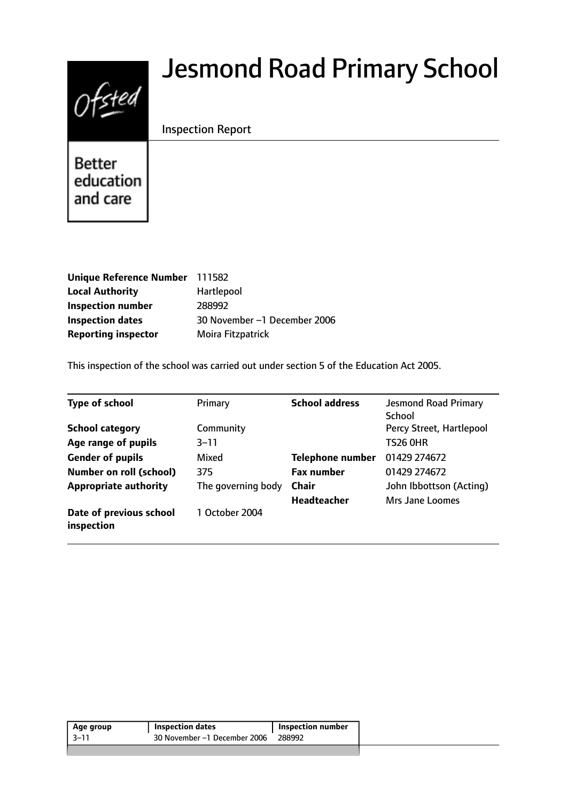# $0$ fsted

# Jesmond Road Primary School

# Inspection Report

**Better** education and care

| Unique Reference Number 111582 |                              |
|--------------------------------|------------------------------|
| <b>Local Authority</b>         | <b>Hartlepool</b>            |
| <b>Inspection number</b>       | 288992                       |
| <b>Inspection dates</b>        | 30 November -1 December 2006 |
| <b>Reporting inspector</b>     | Moira Fitzpatrick            |

This inspection of the school was carried out under section 5 of the Education Act 2005.

| <b>Type of school</b>                 | Primary            | <b>School address</b>   | <b>Jesmond Road Primary</b><br>School |
|---------------------------------------|--------------------|-------------------------|---------------------------------------|
| <b>School category</b>                | Community          |                         | Percy Street, Hartlepool              |
| Age range of pupils                   | $3 - 11$           |                         | <b>TS26 0HR</b>                       |
| <b>Gender of pupils</b>               | Mixed              | <b>Telephone number</b> | 01429 274672                          |
| <b>Number on roll (school)</b>        | 375                | <b>Fax number</b>       | 01429 274672                          |
| <b>Appropriate authority</b>          | The governing body | <b>Chair</b>            | John Ibbottson (Acting)               |
|                                       |                    | <b>Headteacher</b>      | <b>Mrs Jane Loomes</b>                |
| Date of previous school<br>inspection | 1 October 2004     |                         |                                       |

| $3 - 11$<br>30 November -1 December 2006<br>288992 | Age group | Inspection dates | Inspection number |
|----------------------------------------------------|-----------|------------------|-------------------|
|                                                    |           |                  |                   |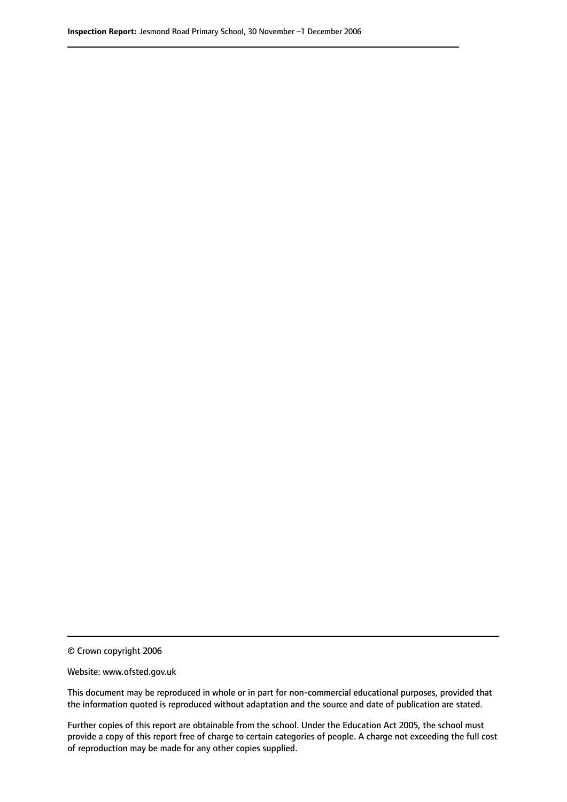© Crown copyright 2006

Website: www.ofsted.gov.uk

This document may be reproduced in whole or in part for non-commercial educational purposes, provided that the information quoted is reproduced without adaptation and the source and date of publication are stated.

Further copies of this report are obtainable from the school. Under the Education Act 2005, the school must provide a copy of this report free of charge to certain categories of people. A charge not exceeding the full cost of reproduction may be made for any other copies supplied.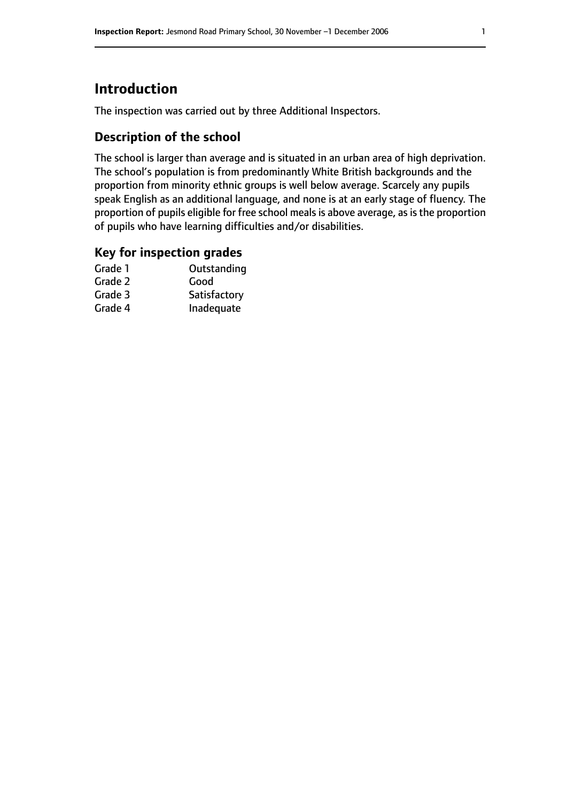# **Introduction**

The inspection was carried out by three Additional Inspectors.

### **Description of the school**

The school is larger than average and is situated in an urban area of high deprivation. The school's population is from predominantly White British backgrounds and the proportion from minority ethnic groups is well below average. Scarcely any pupils speak English as an additional language, and none is at an early stage of fluency. The proportion of pupils eligible for free school meals is above average, as is the proportion of pupils who have learning difficulties and/or disabilities.

#### **Key for inspection grades**

| Grade 1 | Outstanding  |
|---------|--------------|
| Grade 2 | Good         |
| Grade 3 | Satisfactory |
| Grade 4 | Inadequate   |
|         |              |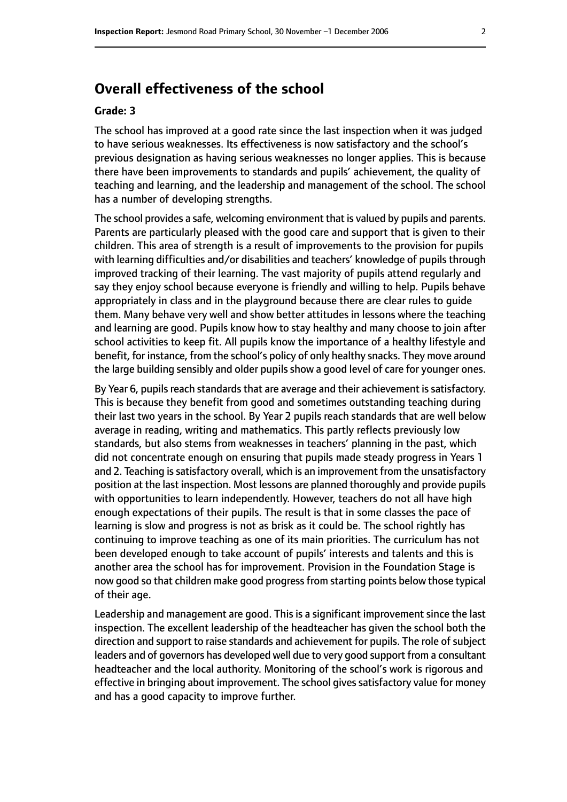# **Overall effectiveness of the school**

#### **Grade: 3**

The school has improved at a good rate since the last inspection when it was judged to have serious weaknesses. Its effectiveness is now satisfactory and the school's previous designation as having serious weaknesses no longer applies. This is because there have been improvements to standards and pupils' achievement, the quality of teaching and learning, and the leadership and management of the school. The school has a number of developing strengths.

The school provides a safe, welcoming environment that is valued by pupils and parents. Parents are particularly pleased with the good care and support that is given to their children. This area of strength is a result of improvements to the provision for pupils with learning difficulties and/or disabilities and teachers' knowledge of pupils through improved tracking of their learning. The vast majority of pupils attend regularly and say they enjoy school because everyone is friendly and willing to help. Pupils behave appropriately in class and in the playground because there are clear rules to guide them. Many behave very well and show better attitudes in lessons where the teaching and learning are good. Pupils know how to stay healthy and many choose to join after school activities to keep fit. All pupils know the importance of a healthy lifestyle and benefit, for instance, from the school's policy of only healthy snacks. They move around the large building sensibly and older pupils show a good level of care for younger ones.

By Year 6, pupils reach standards that are average and their achievement is satisfactory. This is because they benefit from good and sometimes outstanding teaching during their last two years in the school. By Year 2 pupils reach standards that are well below average in reading, writing and mathematics. This partly reflects previously low standards, but also stems from weaknesses in teachers' planning in the past, which did not concentrate enough on ensuring that pupils made steady progress in Years 1 and 2. Teaching is satisfactory overall, which is an improvement from the unsatisfactory position at the last inspection. Most lessons are planned thoroughly and provide pupils with opportunities to learn independently. However, teachers do not all have high enough expectations of their pupils. The result is that in some classes the pace of learning is slow and progress is not as brisk as it could be. The school rightly has continuing to improve teaching as one of its main priorities. The curriculum has not been developed enough to take account of pupils' interests and talents and this is another area the school has for improvement. Provision in the Foundation Stage is now good so that children make good progressfrom starting points below those typical of their age.

Leadership and management are good. This is a significant improvement since the last inspection. The excellent leadership of the headteacher has given the school both the direction and support to raise standards and achievement for pupils. The role of subject leaders and of governors has developed well due to very good support from a consultant headteacher and the local authority. Monitoring of the school's work is rigorous and effective in bringing about improvement. The school gives satisfactory value for money and has a good capacity to improve further.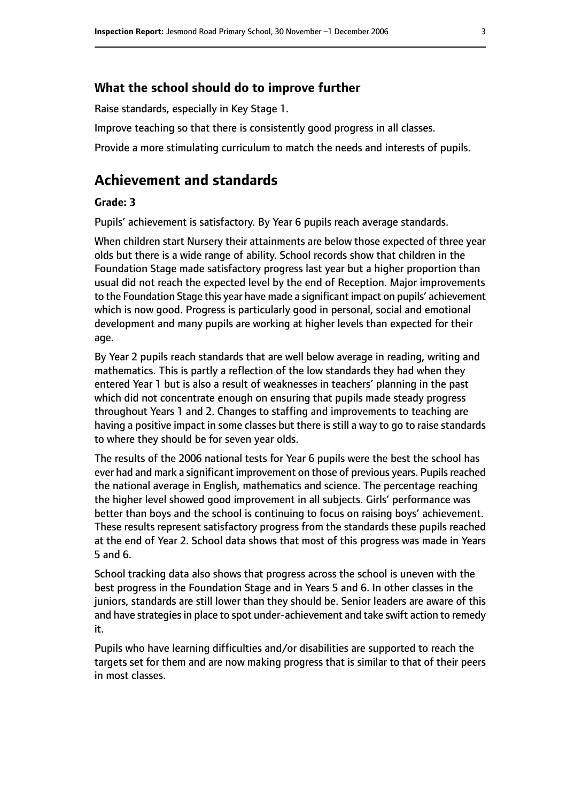#### **What the school should do to improve further**

Raise standards, especially in Key Stage 1.

Improve teaching so that there is consistently good progress in all classes.

Provide a more stimulating curriculum to match the needs and interests of pupils.

# **Achievement and standards**

#### **Grade: 3**

Pupils' achievement is satisfactory. By Year 6 pupils reach average standards.

When children start Nursery their attainments are below those expected of three year olds but there is a wide range of ability. School records show that children in the Foundation Stage made satisfactory progress last year but a higher proportion than usual did not reach the expected level by the end of Reception. Major improvements to the Foundation Stage this year have made a significant impact on pupils' achievement which is now good. Progress is particularly good in personal, social and emotional development and many pupils are working at higher levels than expected for their age.

By Year 2 pupils reach standards that are well below average in reading, writing and mathematics. This is partly a reflection of the low standards they had when they entered Year 1 but is also a result of weaknesses in teachers' planning in the past which did not concentrate enough on ensuring that pupils made steady progress throughout Years 1 and 2. Changes to staffing and improvements to teaching are having a positive impact in some classes but there is still a way to go to raise standards to where they should be for seven year olds.

The results of the 2006 national tests for Year 6 pupils were the best the school has ever had and mark a significant improvement on those of previous years. Pupils reached the national average in English, mathematics and science. The percentage reaching the higher level showed good improvement in all subjects. Girls' performance was better than boys and the school is continuing to focus on raising boys' achievement. These results represent satisfactory progress from the standards these pupils reached at the end of Year 2. School data shows that most of this progress was made in Years 5 and 6.

School tracking data also shows that progress across the school is uneven with the best progress in the Foundation Stage and in Years 5 and 6. In other classes in the juniors, standards are still lower than they should be. Senior leaders are aware of this and have strategies in place to spot under-achievement and take swift action to remedy it.

Pupils who have learning difficulties and/or disabilities are supported to reach the targets set for them and are now making progress that is similar to that of their peers in most classes.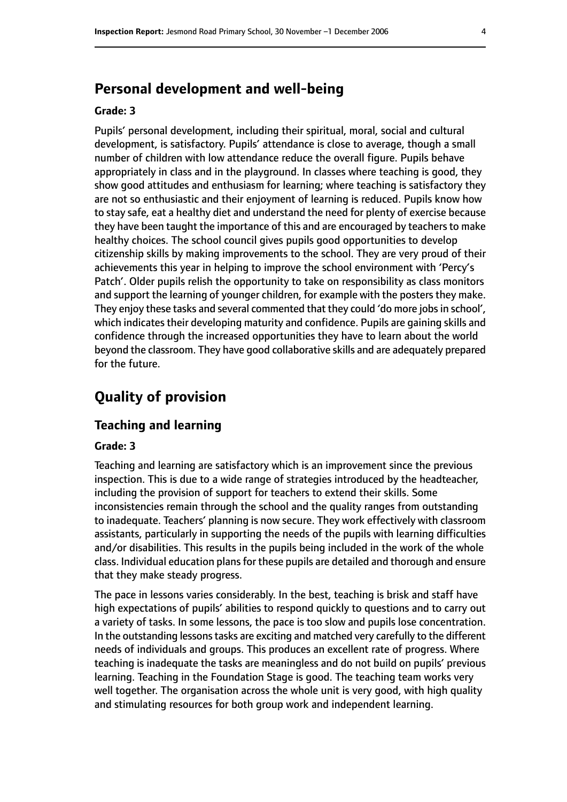# **Personal development and well-being**

#### **Grade: 3**

Pupils' personal development, including their spiritual, moral, social and cultural development, is satisfactory. Pupils' attendance is close to average, though a small number of children with low attendance reduce the overall figure. Pupils behave appropriately in class and in the playground. In classes where teaching is good, they show good attitudes and enthusiasm for learning; where teaching is satisfactory they are not so enthusiastic and their enjoyment of learning is reduced. Pupils know how to stay safe, eat a healthy diet and understand the need for plenty of exercise because they have been taught the importance of this and are encouraged by teachers to make healthy choices. The school council gives pupils good opportunities to develop citizenship skills by making improvements to the school. They are very proud of their achievements this year in helping to improve the school environment with 'Percy's Patch'. Older pupils relish the opportunity to take on responsibility as class monitors and support the learning of younger children, for example with the posters they make. They enjoy these tasks and several commented that they could 'do more jobs in school', which indicates their developing maturity and confidence. Pupils are gaining skills and confidence through the increased opportunities they have to learn about the world beyond the classroom. They have good collaborative skills and are adequately prepared for the future.

# **Quality of provision**

#### **Teaching and learning**

#### **Grade: 3**

Teaching and learning are satisfactory which is an improvement since the previous inspection. This is due to a wide range of strategies introduced by the headteacher, including the provision of support for teachers to extend their skills. Some inconsistencies remain through the school and the quality ranges from outstanding to inadequate. Teachers' planning is now secure. They work effectively with classroom assistants, particularly in supporting the needs of the pupils with learning difficulties and/or disabilities. This results in the pupils being included in the work of the whole class. Individual education plans for these pupils are detailed and thorough and ensure that they make steady progress.

The pace in lessons varies considerably. In the best, teaching is brisk and staff have high expectations of pupils' abilities to respond quickly to questions and to carry out a variety of tasks. In some lessons, the pace is too slow and pupils lose concentration. In the outstanding lessons tasks are exciting and matched very carefully to the different needs of individuals and groups. This produces an excellent rate of progress. Where teaching is inadequate the tasks are meaningless and do not build on pupils' previous learning. Teaching in the Foundation Stage is good. The teaching team works very well together. The organisation across the whole unit is very good, with high quality and stimulating resources for both group work and independent learning.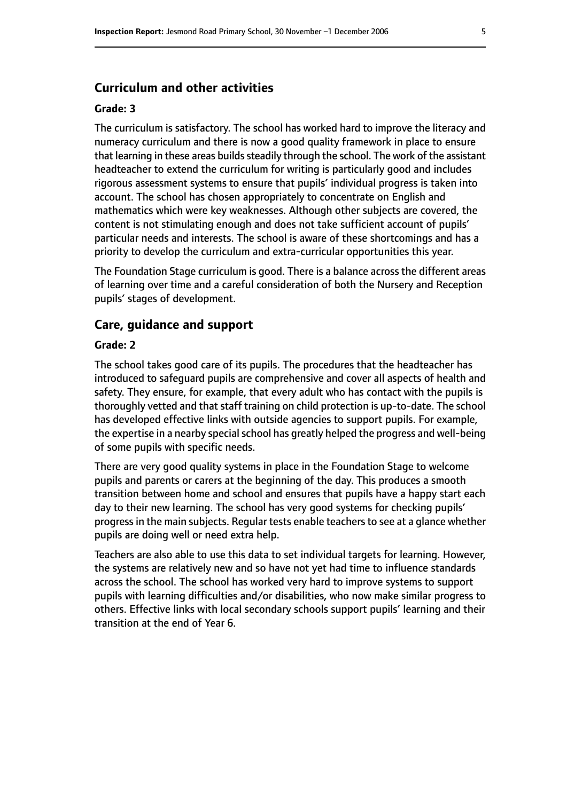#### **Curriculum and other activities**

#### **Grade: 3**

The curriculum is satisfactory. The school has worked hard to improve the literacy and numeracy curriculum and there is now a good quality framework in place to ensure that learning in these areas builds steadily through the school. The work of the assistant headteacher to extend the curriculum for writing is particularly good and includes rigorous assessment systems to ensure that pupils' individual progress is taken into account. The school has chosen appropriately to concentrate on English and mathematics which were key weaknesses. Although other subjects are covered, the content is not stimulating enough and does not take sufficient account of pupils' particular needs and interests. The school is aware of these shortcomings and has a priority to develop the curriculum and extra-curricular opportunities this year.

The Foundation Stage curriculum is good. There is a balance across the different areas of learning over time and a careful consideration of both the Nursery and Reception pupils' stages of development.

#### **Care, guidance and support**

#### **Grade: 2**

The school takes good care of its pupils. The procedures that the headteacher has introduced to safeguard pupils are comprehensive and cover all aspects of health and safety. They ensure, for example, that every adult who has contact with the pupils is thoroughly vetted and that staff training on child protection is up-to-date. The school has developed effective links with outside agencies to support pupils. For example, the expertise in a nearby special school has greatly helped the progress and well-being of some pupils with specific needs.

There are very good quality systems in place in the Foundation Stage to welcome pupils and parents or carers at the beginning of the day. This produces a smooth transition between home and school and ensures that pupils have a happy start each day to their new learning. The school has very good systems for checking pupils' progress in the main subjects. Regular tests enable teachers to see at a glance whether pupils are doing well or need extra help.

Teachers are also able to use this data to set individual targets for learning. However, the systems are relatively new and so have not yet had time to influence standards across the school. The school has worked very hard to improve systems to support pupils with learning difficulties and/or disabilities, who now make similar progress to others. Effective links with local secondary schools support pupils' learning and their transition at the end of Year 6.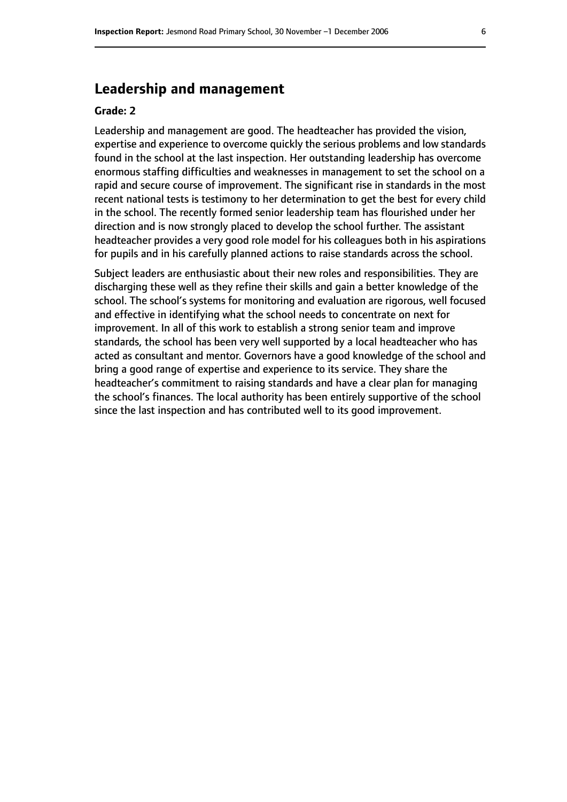# **Leadership and management**

#### **Grade: 2**

Leadership and management are good. The headteacher has provided the vision, expertise and experience to overcome quickly the serious problems and low standards found in the school at the last inspection. Her outstanding leadership has overcome enormous staffing difficulties and weaknesses in management to set the school on a rapid and secure course of improvement. The significant rise in standards in the most recent national tests is testimony to her determination to get the best for every child in the school. The recently formed senior leadership team has flourished under her direction and is now strongly placed to develop the school further. The assistant headteacher provides a very good role model for his colleagues both in his aspirations for pupils and in his carefully planned actions to raise standards across the school.

Subject leaders are enthusiastic about their new roles and responsibilities. They are discharging these well as they refine their skills and gain a better knowledge of the school. The school's systems for monitoring and evaluation are rigorous, well focused and effective in identifying what the school needs to concentrate on next for improvement. In all of this work to establish a strong senior team and improve standards, the school has been very well supported by a local headteacher who has acted as consultant and mentor. Governors have a good knowledge of the school and bring a good range of expertise and experience to its service. They share the headteacher's commitment to raising standards and have a clear plan for managing the school's finances. The local authority has been entirely supportive of the school since the last inspection and has contributed well to its good improvement.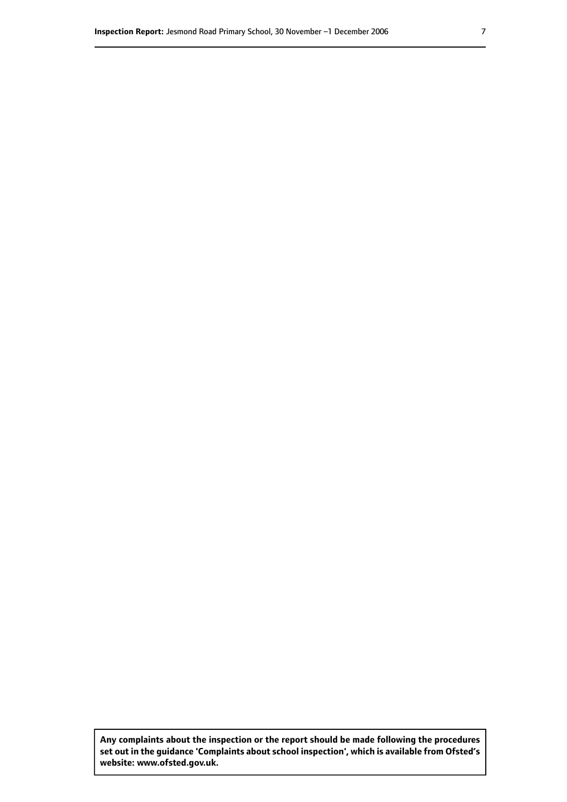**Any complaints about the inspection or the report should be made following the procedures set out inthe guidance 'Complaints about school inspection', whichis available from Ofsted's website: www.ofsted.gov.uk.**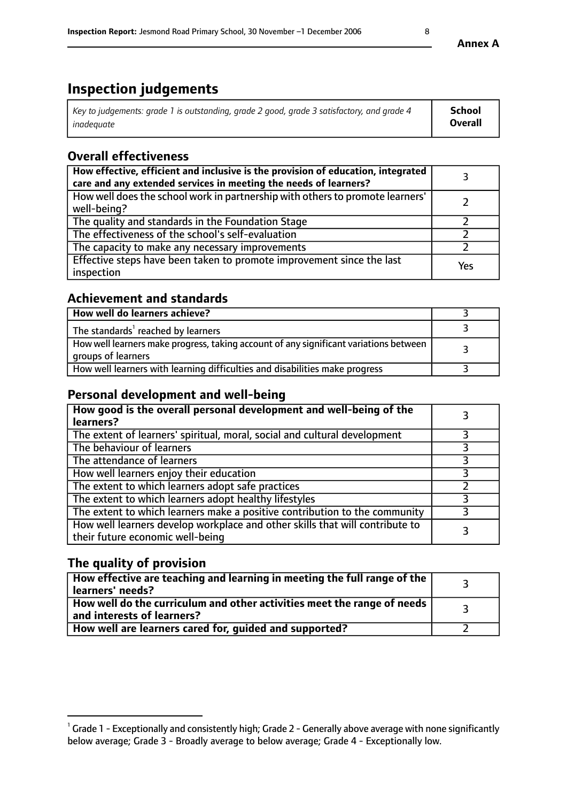# **Inspection judgements**

| Key to judgements: grade 1 is outstanding, grade 2 good, grade 3 satisfactory, and grade 4 | <b>School</b>  |
|--------------------------------------------------------------------------------------------|----------------|
| inadeauate                                                                                 | <b>Overall</b> |

# **Overall effectiveness**

| How effective, efficient and inclusive is the provision of education, integrated<br>care and any extended services in meeting the needs of learners? |     |
|------------------------------------------------------------------------------------------------------------------------------------------------------|-----|
| How well does the school work in partnership with others to promote learners'<br>well-being?                                                         |     |
| The quality and standards in the Foundation Stage                                                                                                    |     |
| The effectiveness of the school's self-evaluation                                                                                                    |     |
| The capacity to make any necessary improvements                                                                                                      |     |
| Effective steps have been taken to promote improvement since the last<br>inspection                                                                  | Yes |

# **Achievement and standards**

| How well do learners achieve?                                                                               |  |
|-------------------------------------------------------------------------------------------------------------|--|
| The standards <sup>1</sup> reached by learners                                                              |  |
| How well learners make progress, taking account of any significant variations between<br>groups of learners |  |
| How well learners with learning difficulties and disabilities make progress                                 |  |

# **Personal development and well-being**

| How good is the overall personal development and well-being of the<br>learners?                                  |  |
|------------------------------------------------------------------------------------------------------------------|--|
| The extent of learners' spiritual, moral, social and cultural development                                        |  |
| The behaviour of learners                                                                                        |  |
| The attendance of learners                                                                                       |  |
| How well learners enjoy their education                                                                          |  |
| The extent to which learners adopt safe practices                                                                |  |
| The extent to which learners adopt healthy lifestyles                                                            |  |
| The extent to which learners make a positive contribution to the community                                       |  |
| How well learners develop workplace and other skills that will contribute to<br>their future economic well-being |  |

# **The quality of provision**

| $\Box$ How effective are teaching and learning in meeting the full range of the $\Box$<br>  learners' needs?        |  |
|---------------------------------------------------------------------------------------------------------------------|--|
| $\mid$ How well do the curriculum and other activities meet the range of needs<br>$\mid$ and interests of learners? |  |
| How well are learners cared for, guided and supported?                                                              |  |

 $^1$  Grade 1 - Exceptionally and consistently high; Grade 2 - Generally above average with none significantly below average; Grade 3 - Broadly average to below average; Grade 4 - Exceptionally low.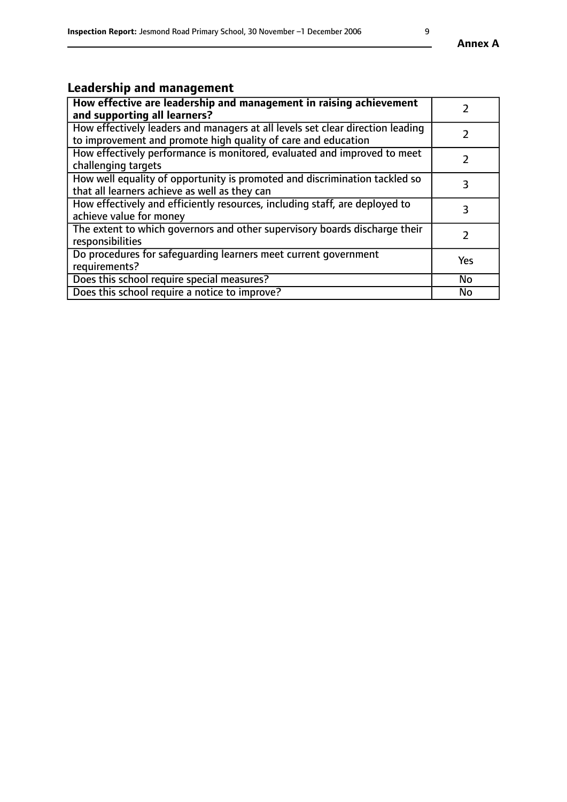# **Leadership and management**

| How effective are leadership and management in raising achievement<br>and supporting all learners?                                              |               |
|-------------------------------------------------------------------------------------------------------------------------------------------------|---------------|
| How effectively leaders and managers at all levels set clear direction leading<br>to improvement and promote high quality of care and education |               |
| How effectively performance is monitored, evaluated and improved to meet<br>challenging targets                                                 | $\mathcal{L}$ |
| How well equality of opportunity is promoted and discrimination tackled so<br>that all learners achieve as well as they can                     | 3             |
| How effectively and efficiently resources, including staff, are deployed to<br>achieve value for money                                          | 3             |
| The extent to which governors and other supervisory boards discharge their<br>responsibilities                                                  |               |
| Do procedures for safequarding learners meet current government<br>requirements?                                                                | Yes           |
| Does this school require special measures?                                                                                                      | No            |
| Does this school require a notice to improve?                                                                                                   | <b>No</b>     |